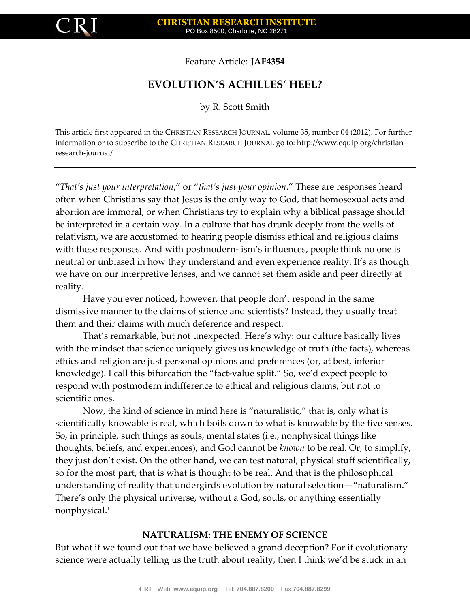

Feature Article: **JAF4354**

# **EVOLUTION'S ACHILLES' HEEL?**

by R. Scott Smith

This article first appeared in the CHRISTIAN RESEARCH JOURNAL, volume 35, number 04 (2012). For further information or to subscribe to the CHRISTIAN RESEARCH JOURNAL go to: http://www.equip.org/christianresearch-journal/

"*That's just your interpretation*," or "*that's just your opinion*." These are responses heard often when Christians say that Jesus is the only way to God, that homosexual acts and abortion are immoral, or when Christians try to explain why a biblical passage should be interpreted in a certain way. In a culture that has drunk deeply from the wells of relativism, we are accustomed to hearing people dismiss ethical and religious claims with these responses. And with postmodern- ism's influences, people think no one is neutral or unbiased in how they understand and even experience reality. It's as though we have on our interpretive lenses, and we cannot set them aside and peer directly at reality.

Have you ever noticed, however, that people don't respond in the same dismissive manner to the claims of science and scientists? Instead, they usually treat them and their claims with much deference and respect.

That's remarkable, but not unexpected. Here's why: our culture basically lives with the mindset that science uniquely gives us knowledge of truth (the facts), whereas ethics and religion are just personal opinions and preferences (or, at best, inferior knowledge). I call this bifurcation the "fact-value split." So, we'd expect people to respond with postmodern indifference to ethical and religious claims, but not to scientific ones.

Now, the kind of science in mind here is "naturalistic," that is, only what is scientifically knowable is real, which boils down to what is knowable by the five senses. So, in principle, such things as souls, mental states (i.e., nonphysical things like thoughts, beliefs, and experiences), and God cannot be *known* to be real. Or, to simplify, they just don't exist. On the other hand, we can test natural, physical stuff scientifically, so for the most part, that is what is thought to be real. And that is the philosophical understanding of reality that undergirds evolution by natural selection—"naturalism." There's only the physical universe, without a God, souls, or anything essentially nonphysical.<sup>1</sup>

## **NATURALISM: THE ENEMY OF SCIENCE**

But what if we found out that we have believed a grand deception? For if evolutionary science were actually telling us the truth about reality, then I think we'd be stuck in an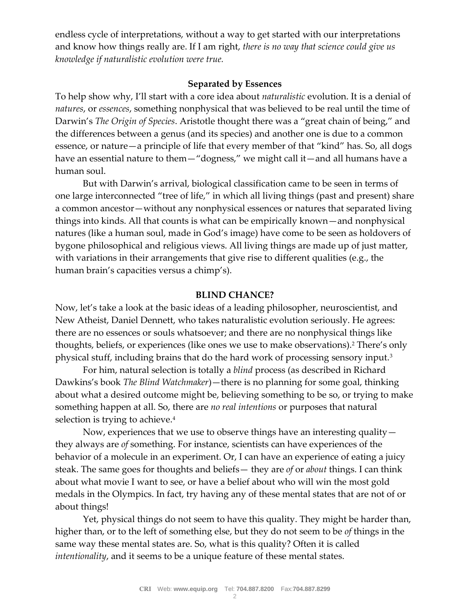endless cycle of interpretations, without a way to get started with our interpretations and know how things really are. If I am right, *there is no way that science could give us knowledge if naturalistic evolution were true.*

## **Separated by Essences**

To help show why, I'll start with a core idea about *naturalistic* evolution. It is a denial of *natures*, or *essences*, something nonphysical that was believed to be real until the time of Darwin's *The Origin of Species*. Aristotle thought there was a "great chain of being," and the differences between a genus (and its species) and another one is due to a common essence, or nature—a principle of life that every member of that "kind" has. So, all dogs have an essential nature to them—"dogness," we might call it—and all humans have a human soul.

But with Darwin's arrival, biological classification came to be seen in terms of one large interconnected "tree of life," in which all living things (past and present) share a common ancestor—without any nonphysical essences or natures that separated living things into kinds. All that counts is what can be empirically known—and nonphysical natures (like a human soul, made in God's image) have come to be seen as holdovers of bygone philosophical and religious views. All living things are made up of just matter, with variations in their arrangements that give rise to different qualities (e.g., the human brain's capacities versus a chimp's).

## **BLIND CHANCE?**

Now, let's take a look at the basic ideas of a leading philosopher, neuroscientist, and New Atheist, Daniel Dennett, who takes naturalistic evolution seriously. He agrees: there are no essences or souls whatsoever; and there are no nonphysical things like thoughts, beliefs, or experiences (like ones we use to make observations).<sup>2</sup> There's only physical stuff, including brains that do the hard work of processing sensory input.<sup>3</sup>

For him, natural selection is totally a *blind* process (as described in Richard Dawkins's book *The Blind Watchmaker*)—there is no planning for some goal, thinking about what a desired outcome might be, believing something to be so, or trying to make something happen at all. So, there are *no real intentions* or purposes that natural selection is trying to achieve.<sup>4</sup>

Now, experiences that we use to observe things have an interesting quality they always are *of* something. For instance, scientists can have experiences of the behavior of a molecule in an experiment. Or, I can have an experience of eating a juicy steak. The same goes for thoughts and beliefs— they are *of* or *about* things. I can think about what movie I want to see, or have a belief about who will win the most gold medals in the Olympics. In fact, try having any of these mental states that are not of or about things!

Yet, physical things do not seem to have this quality. They might be harder than, higher than, or to the left of something else, but they do not seem to be *of* things in the same way these mental states are. So, what is this quality? Often it is called *intentionality*, and it seems to be a unique feature of these mental states.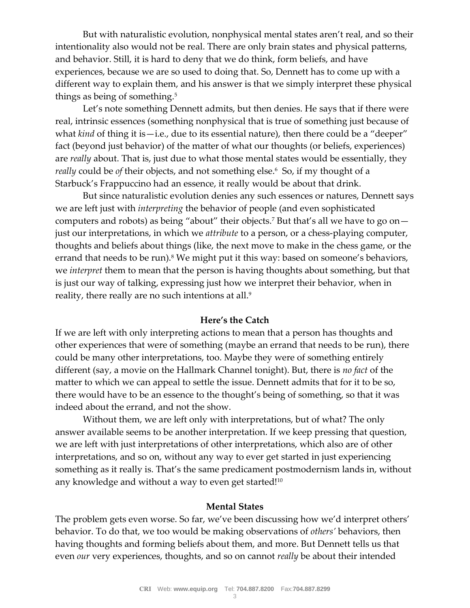But with naturalistic evolution, nonphysical mental states aren't real, and so their intentionality also would not be real. There are only brain states and physical patterns, and behavior. Still, it is hard to deny that we do think, form beliefs, and have experiences, because we are so used to doing that. So, Dennett has to come up with a different way to explain them, and his answer is that we simply interpret these physical things as being of something.<sup>5</sup>

Let's note something Dennett admits, but then denies. He says that if there were real, intrinsic essences (something nonphysical that is true of something just because of what *kind* of thing it is—i.e., due to its essential nature), then there could be a "deeper" fact (beyond just behavior) of the matter of what our thoughts (or beliefs, experiences) are *really* about. That is, just due to what those mental states would be essentially, they *really* could be *of* their objects, and not something else.<sup>6</sup> So, if my thought of a Starbuck's Frappuccino had an essence, it really would be about that drink.

But since naturalistic evolution denies any such essences or natures, Dennett says we are left just with *interpreting* the behavior of people (and even sophisticated computers and robots) as being "about" their objects.<sup>7</sup> But that's all we have to go on just our interpretations, in which we *attribute* to a person, or a chess-playing computer, thoughts and beliefs about things (like, the next move to make in the chess game, or the errand that needs to be run).<sup>8</sup> We might put it this way: based on someone's behaviors, we *interpret* them to mean that the person is having thoughts about something, but that is just our way of talking, expressing just how we interpret their behavior, when in reality, there really are no such intentions at all.<sup>9</sup>

#### **Here's the Catch**

If we are left with only interpreting actions to mean that a person has thoughts and other experiences that were of something (maybe an errand that needs to be run), there could be many other interpretations, too. Maybe they were of something entirely different (say, a movie on the Hallmark Channel tonight). But, there is *no fact* of the matter to which we can appeal to settle the issue. Dennett admits that for it to be so, there would have to be an essence to the thought's being of something, so that it was indeed about the errand, and not the show.

Without them, we are left only with interpretations, but of what? The only answer available seems to be another interpretation. If we keep pressing that question, we are left with just interpretations of other interpretations, which also are of other interpretations, and so on, without any way to ever get started in just experiencing something as it really is. That's the same predicament postmodernism lands in, without any knowledge and without a way to even get started!<sup>10</sup>

#### **Mental States**

The problem gets even worse. So far, we've been discussing how we'd interpret others' behavior. To do that, we too would be making observations of *others'* behaviors, then having thoughts and forming beliefs about them, and more. But Dennett tells us that even *our* very experiences, thoughts, and so on cannot *really* be about their intended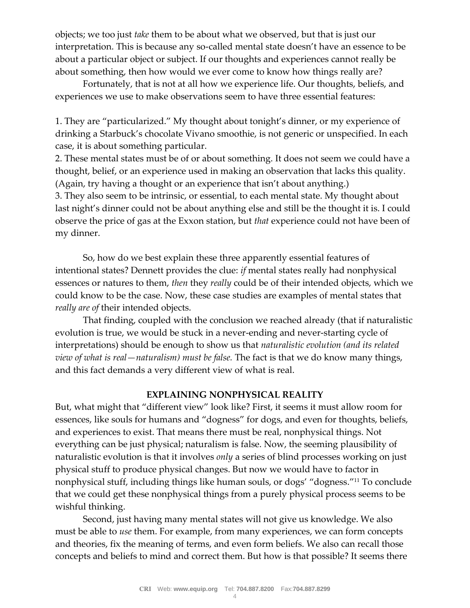objects; we too just *take* them to be about what we observed, but that is just our interpretation. This is because any so-called mental state doesn't have an essence to be about a particular object or subject. If our thoughts and experiences cannot really be about something, then how would we ever come to know how things really are?

Fortunately, that is not at all how we experience life. Our thoughts, beliefs, and experiences we use to make observations seem to have three essential features:

1. They are "particularized." My thought about tonight's dinner, or my experience of drinking a Starbuck's chocolate Vivano smoothie, is not generic or unspecified. In each case, it is about something particular.

2. These mental states must be of or about something. It does not seem we could have a thought, belief, or an experience used in making an observation that lacks this quality. (Again, try having a thought or an experience that isn't about anything.) 3. They also seem to be intrinsic, or essential, to each mental state. My thought about last night's dinner could not be about anything else and still be the thought it is. I could observe the price of gas at the Exxon station, but *that* experience could not have been of my dinner.

So, how do we best explain these three apparently essential features of intentional states? Dennett provides the clue: *if* mental states really had nonphysical essences or natures to them, *then* they *really* could be of their intended objects, which we could know to be the case. Now, these case studies are examples of mental states that *really are of* their intended objects.

That finding, coupled with the conclusion we reached already (that if naturalistic evolution is true, we would be stuck in a never-ending and never-starting cycle of interpretations) should be enough to show us that *naturalistic evolution (and its related view of what is real—naturalism) must be false.* The fact is that we do know many things, and this fact demands a very different view of what is real.

# **EXPLAINING NONPHYSICAL REALITY**

But, what might that "different view" look like? First, it seems it must allow room for essences, like souls for humans and "dogness" for dogs, and even for thoughts, beliefs, and experiences to exist. That means there must be real, nonphysical things. Not everything can be just physical; naturalism is false. Now, the seeming plausibility of naturalistic evolution is that it involves *only* a series of blind processes working on just physical stuff to produce physical changes. But now we would have to factor in nonphysical stuff, including things like human souls, or dogs' "dogness."<sup>11</sup> To conclude that we could get these nonphysical things from a purely physical process seems to be wishful thinking.

Second, just having many mental states will not give us knowledge. We also must be able to *use* them. For example, from many experiences, we can form concepts and theories, fix the meaning of terms, and even form beliefs. We also can recall those concepts and beliefs to mind and correct them. But how is that possible? It seems there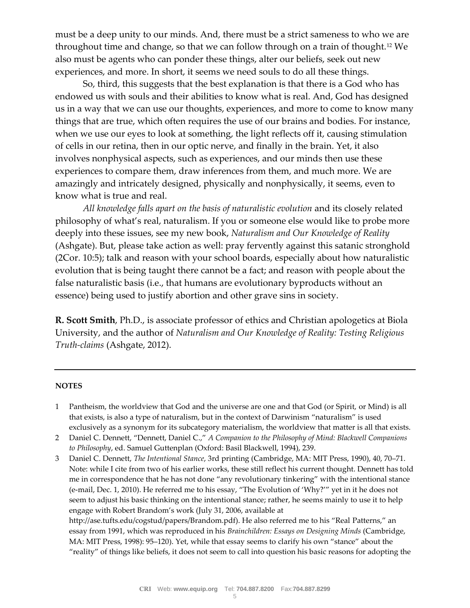must be a deep unity to our minds. And, there must be a strict sameness to who we are throughout time and change, so that we can follow through on a train of thought.<sup>12</sup> We also must be agents who can ponder these things, alter our beliefs, seek out new experiences, and more. In short, it seems we need souls to do all these things.

So, third, this suggests that the best explanation is that there is a God who has endowed us with souls and their abilities to know what is real. And, God has designed us in a way that we can use our thoughts, experiences, and more to come to know many things that are true, which often requires the use of our brains and bodies. For instance, when we use our eyes to look at something, the light reflects off it, causing stimulation of cells in our retina, then in our optic nerve, and finally in the brain. Yet, it also involves nonphysical aspects, such as experiences, and our minds then use these experiences to compare them, draw inferences from them, and much more. We are amazingly and intricately designed, physically and nonphysically, it seems, even to know what is true and real.

*All knowledge falls apart on the basis of naturalistic evolution* and its closely related philosophy of what's real, naturalism. If you or someone else would like to probe more deeply into these issues, see my new book, *Naturalism and Our Knowledge of Reality*  (Ashgate). But, please take action as well: pray fervently against this satanic stronghold (2Cor. 10:5); talk and reason with your school boards, especially about how naturalistic evolution that is being taught there cannot be a fact; and reason with people about the false naturalistic basis (i.e., that humans are evolutionary byproducts without an essence) being used to justify abortion and other grave sins in society.

**R. Scott Smith**, Ph.D., is associate professor of ethics and Christian apologetics at Biola University, and the author of *Naturalism and Our Knowledge of Reality: Testing Religious Truth-claims* (Ashgate, 2012).

#### **NOTES**

- 1 Pantheism, the worldview that God and the universe are one and that God (or Spirit, or Mind) is all that exists, is also a type of naturalism, but in the context of Darwinism "naturalism" is used exclusively as a synonym for its subcategory materialism, the worldview that matter is all that exists.
- 2 Daniel C. Dennett, "Dennett, Daniel C.," *A Companion to the Philosophy of Mind: Blackwell Companions to Philosophy*, ed. Samuel Guttenplan (Oxford: Basil Blackwell, 1994), 239.
- 3 Daniel C. Dennett, *The Intentional Stance*, 3rd printing (Cambridge, MA: MIT Press, 1990), 40, 70–71. Note: while I cite from two of his earlier works, these still reflect his current thought. Dennett has told me in correspondence that he has not done "any revolutionary tinkering" with the intentional stance (e-mail, Dec. 1, 2010). He referred me to his essay, "The Evolution of 'Why?'" yet in it he does not seem to adjust his basic thinking on the intentional stance; rather, he seems mainly to use it to help engage with Robert Brandom's work (July 31, 2006, available at http://ase.tufts.edu/cogstud/papers/Brandom.pdf). He also referred me to his "Real Patterns," an essay from 1991, which was reproduced in his *Brainchildren: Essays on Designing Minds* (Cambridge, MA: MIT Press, 1998): 95–120). Yet, while that essay seems to clarify his own "stance" about the "reality" of things like beliefs, it does not seem to call into question his basic reasons for adopting the